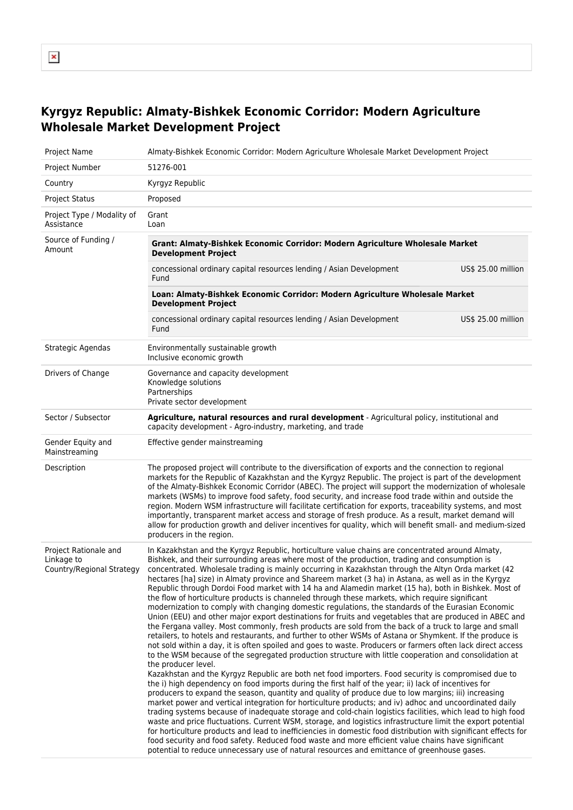## **Kyrgyz Republic: Almaty-Bishkek Economic Corridor: Modern Agriculture Wholesale Market Development Project**

| Project Name                                                     | Almaty-Bishkek Economic Corridor: Modern Agriculture Wholesale Market Development Project                                                                                                                                                                                                                                                                                                                                                                                                                                                                                                                                                                                                                                                                                                                                                                                                                                                                                                                                                                                                                                                                                                                                                                                                                                                                                                                                                                                                                                                                                                                                                                                                                                                                                                                                                                                                                                                                                                                                                                                                                                                                                                                                                                                                               |                    |  |
|------------------------------------------------------------------|---------------------------------------------------------------------------------------------------------------------------------------------------------------------------------------------------------------------------------------------------------------------------------------------------------------------------------------------------------------------------------------------------------------------------------------------------------------------------------------------------------------------------------------------------------------------------------------------------------------------------------------------------------------------------------------------------------------------------------------------------------------------------------------------------------------------------------------------------------------------------------------------------------------------------------------------------------------------------------------------------------------------------------------------------------------------------------------------------------------------------------------------------------------------------------------------------------------------------------------------------------------------------------------------------------------------------------------------------------------------------------------------------------------------------------------------------------------------------------------------------------------------------------------------------------------------------------------------------------------------------------------------------------------------------------------------------------------------------------------------------------------------------------------------------------------------------------------------------------------------------------------------------------------------------------------------------------------------------------------------------------------------------------------------------------------------------------------------------------------------------------------------------------------------------------------------------------------------------------------------------------------------------------------------------------|--------------------|--|
| Project Number                                                   | 51276-001                                                                                                                                                                                                                                                                                                                                                                                                                                                                                                                                                                                                                                                                                                                                                                                                                                                                                                                                                                                                                                                                                                                                                                                                                                                                                                                                                                                                                                                                                                                                                                                                                                                                                                                                                                                                                                                                                                                                                                                                                                                                                                                                                                                                                                                                                               |                    |  |
| Country                                                          | Kyrgyz Republic                                                                                                                                                                                                                                                                                                                                                                                                                                                                                                                                                                                                                                                                                                                                                                                                                                                                                                                                                                                                                                                                                                                                                                                                                                                                                                                                                                                                                                                                                                                                                                                                                                                                                                                                                                                                                                                                                                                                                                                                                                                                                                                                                                                                                                                                                         |                    |  |
| <b>Project Status</b>                                            | Proposed                                                                                                                                                                                                                                                                                                                                                                                                                                                                                                                                                                                                                                                                                                                                                                                                                                                                                                                                                                                                                                                                                                                                                                                                                                                                                                                                                                                                                                                                                                                                                                                                                                                                                                                                                                                                                                                                                                                                                                                                                                                                                                                                                                                                                                                                                                |                    |  |
| Project Type / Modality of<br>Assistance                         | Grant<br>Loan                                                                                                                                                                                                                                                                                                                                                                                                                                                                                                                                                                                                                                                                                                                                                                                                                                                                                                                                                                                                                                                                                                                                                                                                                                                                                                                                                                                                                                                                                                                                                                                                                                                                                                                                                                                                                                                                                                                                                                                                                                                                                                                                                                                                                                                                                           |                    |  |
| Source of Funding /<br>Amount                                    | Grant: Almaty-Bishkek Economic Corridor: Modern Agriculture Wholesale Market<br><b>Development Project</b>                                                                                                                                                                                                                                                                                                                                                                                                                                                                                                                                                                                                                                                                                                                                                                                                                                                                                                                                                                                                                                                                                                                                                                                                                                                                                                                                                                                                                                                                                                                                                                                                                                                                                                                                                                                                                                                                                                                                                                                                                                                                                                                                                                                              |                    |  |
|                                                                  | concessional ordinary capital resources lending / Asian Development<br>Fund                                                                                                                                                                                                                                                                                                                                                                                                                                                                                                                                                                                                                                                                                                                                                                                                                                                                                                                                                                                                                                                                                                                                                                                                                                                                                                                                                                                                                                                                                                                                                                                                                                                                                                                                                                                                                                                                                                                                                                                                                                                                                                                                                                                                                             | US\$ 25.00 million |  |
|                                                                  | Loan: Almaty-Bishkek Economic Corridor: Modern Agriculture Wholesale Market<br><b>Development Project</b>                                                                                                                                                                                                                                                                                                                                                                                                                                                                                                                                                                                                                                                                                                                                                                                                                                                                                                                                                                                                                                                                                                                                                                                                                                                                                                                                                                                                                                                                                                                                                                                                                                                                                                                                                                                                                                                                                                                                                                                                                                                                                                                                                                                               |                    |  |
|                                                                  | concessional ordinary capital resources lending / Asian Development<br>Fund                                                                                                                                                                                                                                                                                                                                                                                                                                                                                                                                                                                                                                                                                                                                                                                                                                                                                                                                                                                                                                                                                                                                                                                                                                                                                                                                                                                                                                                                                                                                                                                                                                                                                                                                                                                                                                                                                                                                                                                                                                                                                                                                                                                                                             | US\$ 25.00 million |  |
| Strategic Agendas                                                | Environmentally sustainable growth<br>Inclusive economic growth                                                                                                                                                                                                                                                                                                                                                                                                                                                                                                                                                                                                                                                                                                                                                                                                                                                                                                                                                                                                                                                                                                                                                                                                                                                                                                                                                                                                                                                                                                                                                                                                                                                                                                                                                                                                                                                                                                                                                                                                                                                                                                                                                                                                                                         |                    |  |
| Drivers of Change                                                | Governance and capacity development<br>Knowledge solutions<br>Partnerships<br>Private sector development                                                                                                                                                                                                                                                                                                                                                                                                                                                                                                                                                                                                                                                                                                                                                                                                                                                                                                                                                                                                                                                                                                                                                                                                                                                                                                                                                                                                                                                                                                                                                                                                                                                                                                                                                                                                                                                                                                                                                                                                                                                                                                                                                                                                |                    |  |
| Sector / Subsector                                               | Agriculture, natural resources and rural development - Agricultural policy, institutional and<br>capacity development - Agro-industry, marketing, and trade                                                                                                                                                                                                                                                                                                                                                                                                                                                                                                                                                                                                                                                                                                                                                                                                                                                                                                                                                                                                                                                                                                                                                                                                                                                                                                                                                                                                                                                                                                                                                                                                                                                                                                                                                                                                                                                                                                                                                                                                                                                                                                                                             |                    |  |
| Gender Equity and<br>Mainstreaming                               | Effective gender mainstreaming                                                                                                                                                                                                                                                                                                                                                                                                                                                                                                                                                                                                                                                                                                                                                                                                                                                                                                                                                                                                                                                                                                                                                                                                                                                                                                                                                                                                                                                                                                                                                                                                                                                                                                                                                                                                                                                                                                                                                                                                                                                                                                                                                                                                                                                                          |                    |  |
| Description                                                      | The proposed project will contribute to the diversification of exports and the connection to regional<br>markets for the Republic of Kazakhstan and the Kyrgyz Republic. The project is part of the development<br>of the Almaty-Bishkek Economic Corridor (ABEC). The project will support the modernization of wholesale<br>markets (WSMs) to improve food safety, food security, and increase food trade within and outside the<br>region. Modern WSM infrastructure will facilitate certification for exports, traceability systems, and most<br>importantly, transparent market access and storage of fresh produce. As a result, market demand will<br>allow for production growth and deliver incentives for quality, which will benefit small- and medium-sized<br>producers in the region.                                                                                                                                                                                                                                                                                                                                                                                                                                                                                                                                                                                                                                                                                                                                                                                                                                                                                                                                                                                                                                                                                                                                                                                                                                                                                                                                                                                                                                                                                                     |                    |  |
| Project Rationale and<br>Linkage to<br>Country/Regional Strategy | In Kazakhstan and the Kyrgyz Republic, horticulture value chains are concentrated around Almaty,<br>Bishkek, and their surrounding areas where most of the production, trading and consumption is<br>concentrated. Wholesale trading is mainly occurring in Kazakhstan through the Altyn Orda market (42<br>hectares [ha] size) in Almaty province and Shareem market (3 ha) in Astana, as well as in the Kyrgyz<br>Republic through Dordoi Food market with 14 ha and Alamedin market (15 ha), both in Bishkek. Most of<br>the flow of horticulture products is channeled through these markets, which require significant<br>modernization to comply with changing domestic regulations, the standards of the Eurasian Economic<br>Union (EEU) and other major export destinations for fruits and vegetables that are produced in ABEC and<br>the Fergana valley. Most commonly, fresh products are sold from the back of a truck to large and small<br>retailers, to hotels and restaurants, and further to other WSMs of Astana or Shymkent. If the produce is<br>not sold within a day, it is often spoiled and goes to waste. Producers or farmers often lack direct access<br>to the WSM because of the segregated production structure with little cooperation and consolidation at<br>the producer level.<br>Kazakhstan and the Kyrgyz Republic are both net food importers. Food security is compromised due to<br>the i) high dependency on food imports during the first half of the year; ii) lack of incentives for<br>producers to expand the season, quantity and quality of produce due to low margins; iii) increasing<br>market power and vertical integration for horticulture products; and iv) adhoc and uncoordinated daily<br>trading systems because of inadequate storage and cold-chain logistics facilities, which lead to high food<br>waste and price fluctuations. Current WSM, storage, and logistics infrastructure limit the export potential<br>for horticulture products and lead to inefficiencies in domestic food distribution with significant effects for<br>food security and food safety. Reduced food waste and more efficient value chains have significant<br>potential to reduce unnecessary use of natural resources and emittance of greenhouse gases. |                    |  |